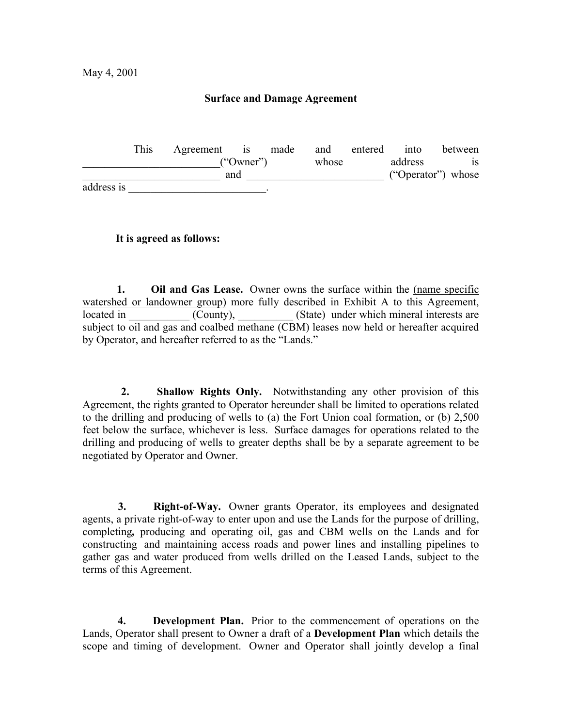# **Surface and Damage Agreement**

 This Agreement is made and entered into between ("Owner") whose address is \_\_\_\_\_\_\_\_\_\_\_\_\_\_\_\_\_\_\_\_\_\_\_\_\_ and \_\_\_\_\_\_\_\_\_\_\_\_\_\_\_\_\_\_\_\_\_\_\_\_\_ ("Operator") whose address is  $\blacksquare$ 

**It is agreed as follows:**

 **1. Oil and Gas Lease.** Owner owns the surface within the (name specific watershed or landowner group) more fully described in Exhibit A to this Agreement, located in \_\_\_\_\_\_\_\_\_\_\_ (County), \_\_\_\_\_\_\_\_ (State) under which mineral interests are subject to oil and gas and coalbed methane (CBM) leases now held or hereafter acquired by Operator, and hereafter referred to as the "Lands."

 **2. Shallow Rights Only.** Notwithstanding any other provision of this Agreement, the rights granted to Operator hereunder shall be limited to operations related to the drilling and producing of wells to (a) the Fort Union coal formation, or (b) 2,500 feet below the surface, whichever is less. Surface damages for operations related to the drilling and producing of wells to greater depths shall be by a separate agreement to be negotiated by Operator and Owner.

**3.** Right-of-Way. Owner grants Operator, its employees and designated agents, a private right-of-way to enter upon and use the Lands for the purpose of drilling, completing*,* producing and operating oil, gas and CBM wells on the Lands and for constructing and maintaining access roads and power lines and installing pipelines to gather gas and water produced from wells drilled on the Leased Lands, subject to the terms of this Agreement.

 **4. Development Plan.** Prior to the commencement of operations on the Lands, Operator shall present to Owner a draft of a **Development Plan** which details the scope and timing of development. Owner and Operator shall jointly develop a final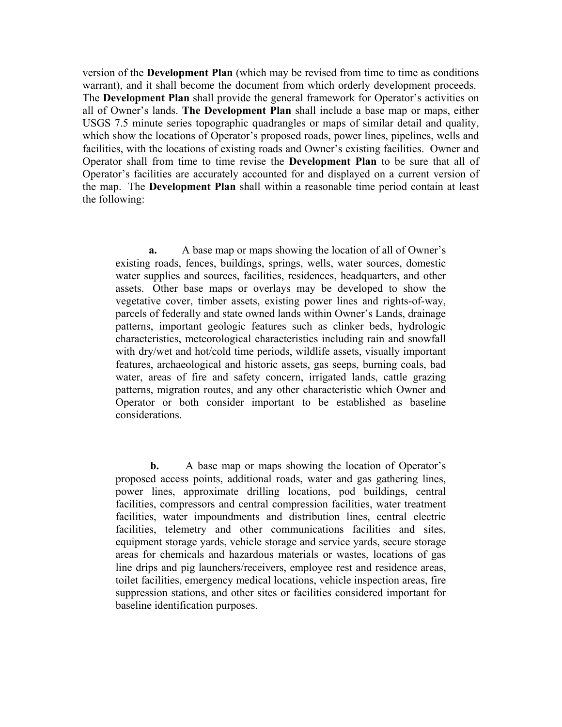version of the **Development Plan** (which may be revised from time to time as conditions warrant), and it shall become the document from which orderly development proceeds. The **Development Plan** shall provide the general framework for Operator's activities on all of Owner's lands. **The Development Plan** shall include a base map or maps, either USGS 7.5 minute series topographic quadrangles or maps of similar detail and quality, which show the locations of Operator's proposed roads, power lines, pipelines, wells and facilities, with the locations of existing roads and Owner's existing facilities. Owner and Operator shall from time to time revise the **Development Plan** to be sure that all of Operator's facilities are accurately accounted for and displayed on a current version of the map. The **Development Plan** shall within a reasonable time period contain at least the following:

 **a.** A base map or maps showing the location of all of Owner's existing roads, fences, buildings, springs, wells, water sources, domestic water supplies and sources, facilities, residences, headquarters, and other assets. Other base maps or overlays may be developed to show the vegetative cover, timber assets, existing power lines and rights-of-way, parcels of federally and state owned lands within Owner's Lands, drainage patterns, important geologic features such as clinker beds, hydrologic characteristics, meteorological characteristics including rain and snowfall with dry/wet and hot/cold time periods, wildlife assets, visually important features, archaeological and historic assets, gas seeps, burning coals, bad water, areas of fire and safety concern, irrigated lands, cattle grazing patterns, migration routes, and any other characteristic which Owner and Operator or both consider important to be established as baseline considerations.

 **b.** A base map or maps showing the location of Operator's proposed access points, additional roads, water and gas gathering lines, power lines, approximate drilling locations, pod buildings, central facilities, compressors and central compression facilities, water treatment facilities, water impoundments and distribution lines, central electric facilities, telemetry and other communications facilities and sites, equipment storage yards, vehicle storage and service yards, secure storage areas for chemicals and hazardous materials or wastes, locations of gas line drips and pig launchers/receivers, employee rest and residence areas, toilet facilities, emergency medical locations, vehicle inspection areas, fire suppression stations, and other sites or facilities considered important for baseline identification purposes.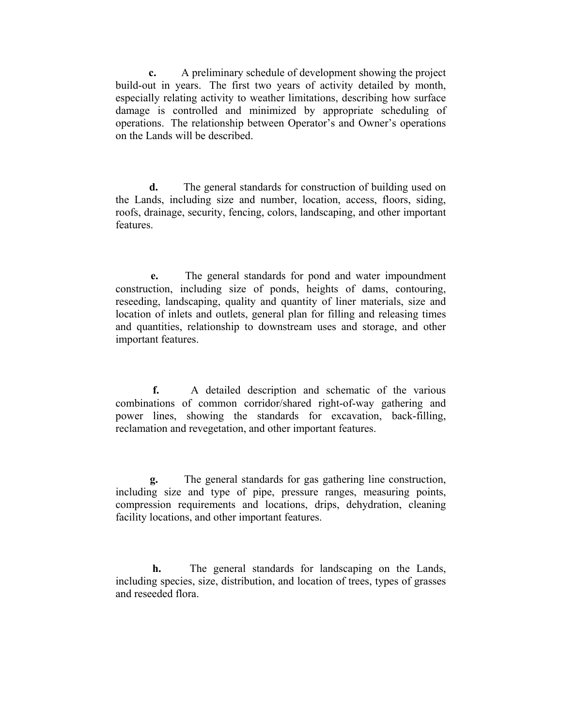**c.** A preliminary schedule of development showing the project build-out in years. The first two years of activity detailed by month, especially relating activity to weather limitations, describing how surface damage is controlled and minimized by appropriate scheduling of operations. The relationship between Operator's and Owner's operations on the Lands will be described.

 **d.** The general standards for construction of building used on the Lands, including size and number, location, access, floors, siding, roofs, drainage, security, fencing, colors, landscaping, and other important features.

 **e.** The general standards for pond and water impoundment construction, including size of ponds, heights of dams, contouring, reseeding, landscaping, quality and quantity of liner materials, size and location of inlets and outlets, general plan for filling and releasing times and quantities, relationship to downstream uses and storage, and other important features.

 **f.** A detailed description and schematic of the various combinations of common corridor/shared right-of-way gathering and power lines, showing the standards for excavation, back-filling, reclamation and revegetation, and other important features.

 **g.** The general standards for gas gathering line construction, including size and type of pipe, pressure ranges, measuring points, compression requirements and locations, drips, dehydration, cleaning facility locations, and other important features.

 **h.** The general standards for landscaping on the Lands, including species, size, distribution, and location of trees, types of grasses and reseeded flora.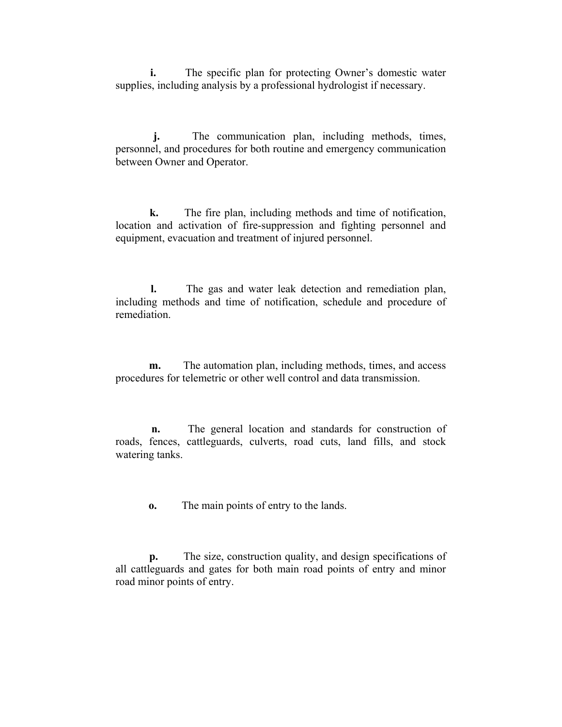**i.** The specific plan for protecting Owner's domestic water supplies, including analysis by a professional hydrologist if necessary.

 **j.** The communication plan, including methods, times, personnel, and procedures for both routine and emergency communication between Owner and Operator.

 **k.** The fire plan, including methods and time of notification, location and activation of fire-suppression and fighting personnel and equipment, evacuation and treatment of injured personnel.

 **l.** The gas and water leak detection and remediation plan, including methods and time of notification, schedule and procedure of remediation.

**m.** The automation plan, including methods, times, and access procedures for telemetric or other well control and data transmission.

 **n.** The general location and standards for construction of roads, fences, cattleguards, culverts, road cuts, land fills, and stock watering tanks.

**o.** The main points of entry to the lands.

 **p.** The size, construction quality, and design specifications of all cattleguards and gates for both main road points of entry and minor road minor points of entry.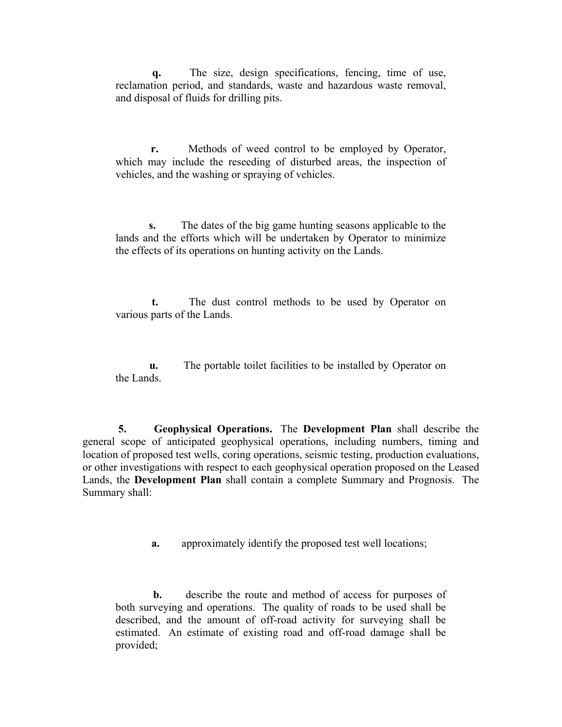**q.** The size, design specifications, fencing, time of use, reclamation period, and standards, waste and hazardous waste removal, and disposal of fluids for drilling pits.

 **r.** Methods of weed control to be employed by Operator, which may include the reseeding of disturbed areas, the inspection of vehicles, and the washing or spraying of vehicles.

 **s.** The dates of the big game hunting seasons applicable to the lands and the efforts which will be undertaken by Operator to minimize the effects of its operations on hunting activity on the Lands.

 **t.** The dust control methods to be used by Operator on various parts of the Lands.

 **u.** The portable toilet facilities to be installed by Operator on the Lands.

 **5. Geophysical Operations.** The **Development Plan** shall describe the general scope of anticipated geophysical operations, including numbers, timing and location of proposed test wells, coring operations, seismic testing, production evaluations, or other investigations with respect to each geophysical operation proposed on the Leased Lands, the **Development Plan** shall contain a complete Summary and Prognosis. The Summary shall:

**a.** approximately identify the proposed test well locations;

**b.** describe the route and method of access for purposes of both surveying and operations. The quality of roads to be used shall be described, and the amount of off-road activity for surveying shall be estimated. An estimate of existing road and off-road damage shall be provided;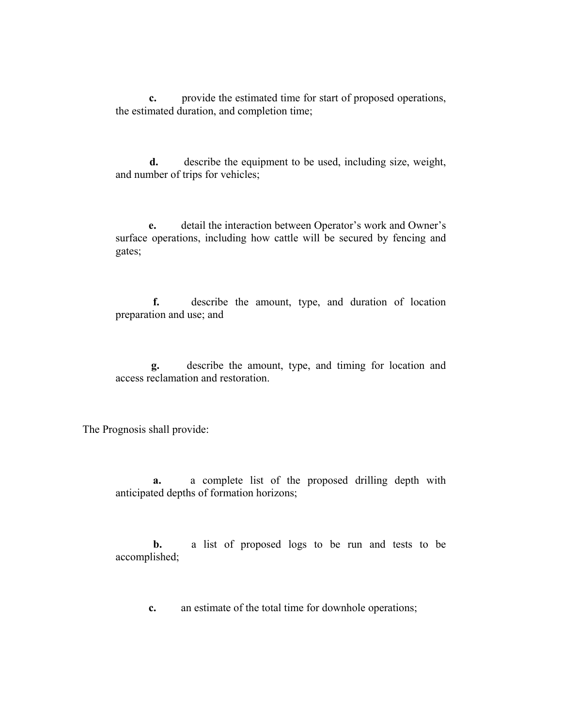**c.** provide the estimated time for start of proposed operations, the estimated duration, and completion time;

 **d.** describe the equipment to be used, including size, weight, and number of trips for vehicles;

 **e.** detail the interaction between Operator's work and Owner's surface operations, including how cattle will be secured by fencing and gates;

 **f.** describe the amount, type, and duration of location preparation and use; and

 **g.** describe the amount, type, and timing for location and access reclamation and restoration.

The Prognosis shall provide:

 **a.** a complete list of the proposed drilling depth with anticipated depths of formation horizons;

 **b.** a list of proposed logs to be run and tests to be accomplished;

**c.** an estimate of the total time for downhole operations;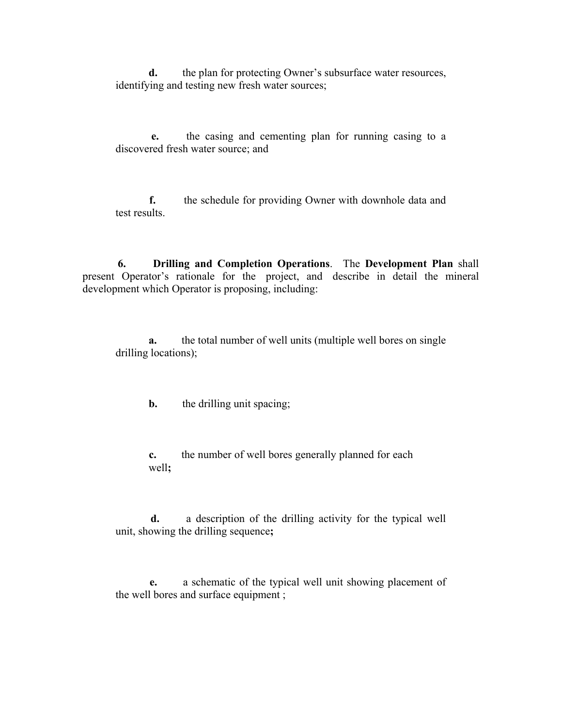**d.** the plan for protecting Owner's subsurface water resources, identifying and testing new fresh water sources;

 **e.** the casing and cementing plan for running casing to a discovered fresh water source; and

 **f.** the schedule for providing Owner with downhole data and test results.

 **6. Drilling and Completion Operations**. The **Development Plan** shall present Operator's rationale for the project, and describe in detail the mineral development which Operator is proposing, including:

 **a.** the total number of well units (multiple well bores on single drilling locations);

**b.** the drilling unit spacing;

 **c.** the number of well bores generally planned for each well**;**

 **d.** a description of the drilling activity for the typical well unit, showing the drilling sequence**;**

 **e.** a schematic of the typical well unit showing placement of the well bores and surface equipment ;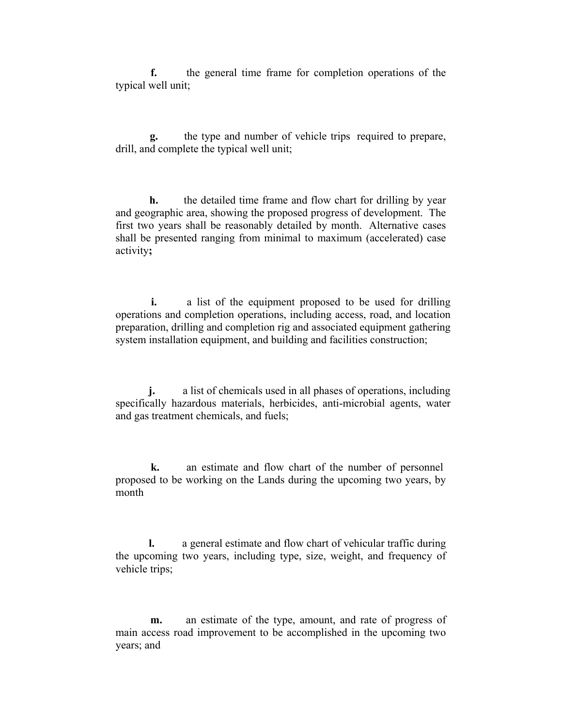**f.** the general time frame for completion operations of the typical well unit;

 **g.** the type and number of vehicle trips required to prepare, drill, and complete the typical well unit;

 **h.** the detailed time frame and flow chart for drilling by year and geographic area, showing the proposed progress of development. The first two years shall be reasonably detailed by month. Alternative cases shall be presented ranging from minimal to maximum (accelerated) case activity**;**

**i.** a list of the equipment proposed to be used for drilling operations and completion operations, including access, road, and location preparation, drilling and completion rig and associated equipment gathering system installation equipment, and building and facilities construction;

**j.** a list of chemicals used in all phases of operations, including specifically hazardous materials, herbicides, anti-microbial agents, water and gas treatment chemicals, and fuels;

 **k.** an estimate and flow chart of the number of personnel proposed to be working on the Lands during the upcoming two years, by month

 **l.** a general estimate and flow chart of vehicular traffic during the upcoming two years, including type, size, weight, and frequency of vehicle trips;

 **m.** an estimate of the type, amount, and rate of progress of main access road improvement to be accomplished in the upcoming two years; and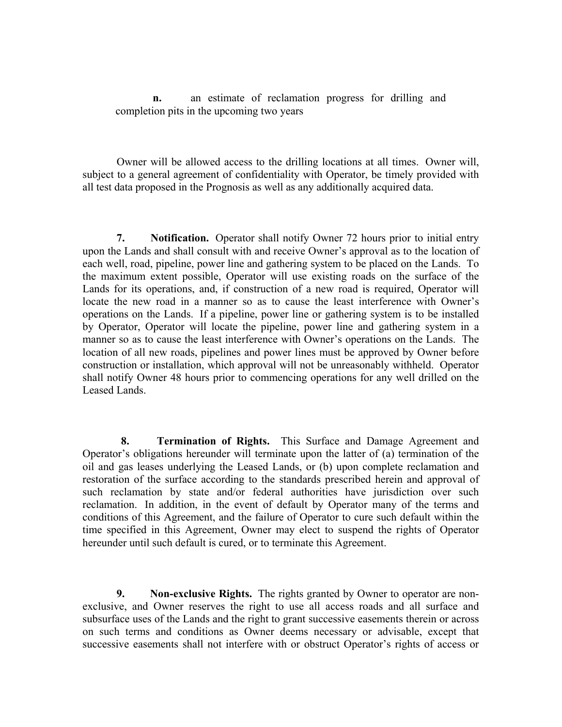**n.** an estimate of reclamation progress for drilling and completion pits in the upcoming two years

 Owner will be allowed access to the drilling locations at all times. Owner will, subject to a general agreement of confidentiality with Operator, be timely provided with all test data proposed in the Prognosis as well as any additionally acquired data.

 **7. Notification.** Operator shall notify Owner 72 hours prior to initial entry upon the Lands and shall consult with and receive Owner's approval as to the location of each well, road, pipeline, power line and gathering system to be placed on the Lands. To the maximum extent possible, Operator will use existing roads on the surface of the Lands for its operations, and, if construction of a new road is required, Operator will locate the new road in a manner so as to cause the least interference with Owner's operations on the Lands. If a pipeline, power line or gathering system is to be installed by Operator, Operator will locate the pipeline, power line and gathering system in a manner so as to cause the least interference with Owner's operations on the Lands. The location of all new roads, pipelines and power lines must be approved by Owner before construction or installation, which approval will not be unreasonably withheld. Operator shall notify Owner 48 hours prior to commencing operations for any well drilled on the Leased Lands.

 **8. Termination of Rights.** This Surface and Damage Agreement and Operator's obligations hereunder will terminate upon the latter of (a) termination of the oil and gas leases underlying the Leased Lands, or (b) upon complete reclamation and restoration of the surface according to the standards prescribed herein and approval of such reclamation by state and/or federal authorities have jurisdiction over such reclamation. In addition, in the event of default by Operator many of the terms and conditions of this Agreement, and the failure of Operator to cure such default within the time specified in this Agreement, Owner may elect to suspend the rights of Operator hereunder until such default is cured, or to terminate this Agreement.

 **9. Non-exclusive Rights.** The rights granted by Owner to operator are nonexclusive, and Owner reserves the right to use all access roads and all surface and subsurface uses of the Lands and the right to grant successive easements therein or across on such terms and conditions as Owner deems necessary or advisable, except that successive easements shall not interfere with or obstruct Operator's rights of access or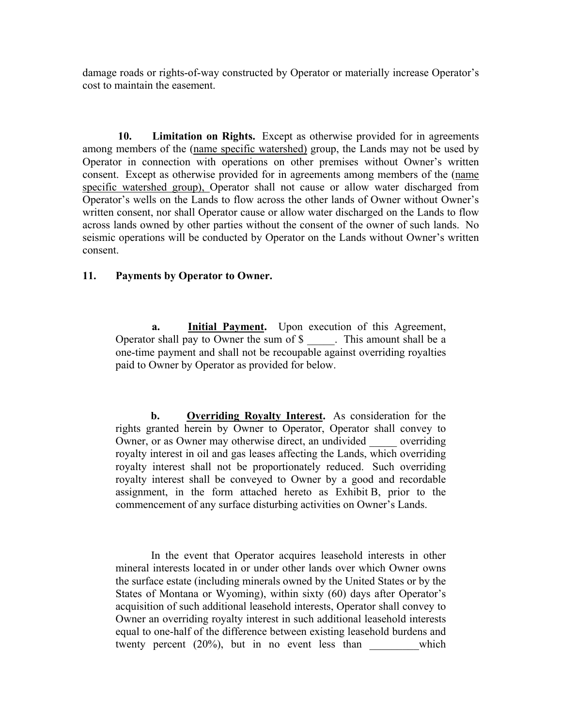damage roads or rights-of-way constructed by Operator or materially increase Operator's cost to maintain the easement.

 **10. Limitation on Rights.** Except as otherwise provided for in agreements among members of the (name specific watershed) group, the Lands may not be used by Operator in connection with operations on other premises without Owner's written consent. Except as otherwise provided for in agreements among members of the (name specific watershed group), Operator shall not cause or allow water discharged from Operator's wells on the Lands to flow across the other lands of Owner without Owner's written consent, nor shall Operator cause or allow water discharged on the Lands to flow across lands owned by other parties without the consent of the owner of such lands. No seismic operations will be conducted by Operator on the Lands without Owner's written consent.

# **11. Payments by Operator to Owner.**

**a.** Initial Payment. Upon execution of this Agreement, Operator shall pay to Owner the sum of \$ This amount shall be a one-time payment and shall not be recoupable against overriding royalties paid to Owner by Operator as provided for below.

 **b. Overriding Royalty Interest.** As consideration for the rights granted herein by Owner to Operator, Operator shall convey to Owner, or as Owner may otherwise direct, an undivided overriding royalty interest in oil and gas leases affecting the Lands, which overriding royalty interest shall not be proportionately reduced. Such overriding royalty interest shall be conveyed to Owner by a good and recordable assignment, in the form attached hereto as Exhibit B, prior to the commencement of any surface disturbing activities on Owner's Lands.

 In the event that Operator acquires leasehold interests in other mineral interests located in or under other lands over which Owner owns the surface estate (including minerals owned by the United States or by the States of Montana or Wyoming), within sixty (60) days after Operator's acquisition of such additional leasehold interests, Operator shall convey to Owner an overriding royalty interest in such additional leasehold interests equal to one-half of the difference between existing leasehold burdens and twenty percent (20%), but in no event less than which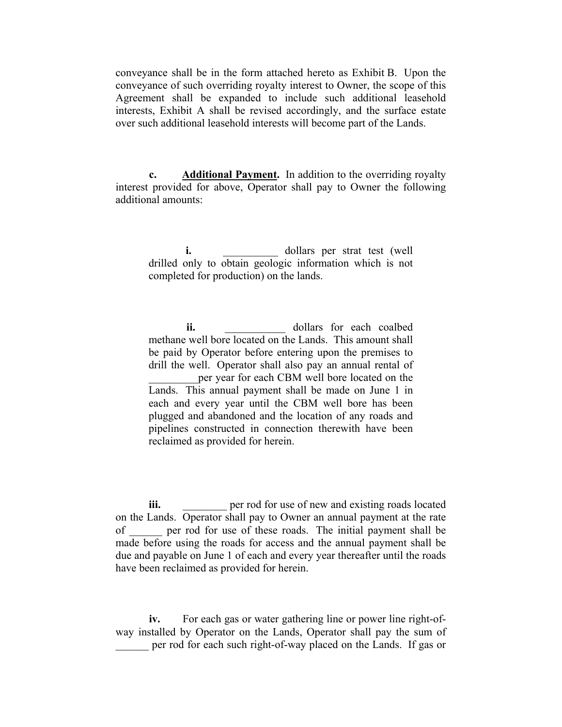conveyance shall be in the form attached hereto as Exhibit B. Upon the conveyance of such overriding royalty interest to Owner, the scope of this Agreement shall be expanded to include such additional leasehold interests, Exhibit A shall be revised accordingly, and the surface estate over such additional leasehold interests will become part of the Lands.

 **c. Additional Payment.** In addition to the overriding royalty interest provided for above, Operator shall pay to Owner the following additional amounts:

**i.** dollars per strat test (well drilled only to obtain geologic information which is not completed for production) on the lands.

**ii.**  $\qquad \qquad \text{dollars}$  for each coalbed methane well bore located on the Lands. This amount shall be paid by Operator before entering upon the premises to drill the well. Operator shall also pay an annual rental of per year for each CBM well bore located on the Lands. This annual payment shall be made on June 1 in each and every year until the CBM well bore has been plugged and abandoned and the location of any roads and pipelines constructed in connection therewith have been reclaimed as provided for herein.

**iii. iii. per rod for use of new and existing roads located** on the Lands. Operator shall pay to Owner an annual payment at the rate of per rod for use of these roads. The initial payment shall be made before using the roads for access and the annual payment shall be due and payable on June 1 of each and every year thereafter until the roads have been reclaimed as provided for herein.

 **iv.** For each gas or water gathering line or power line right-ofway installed by Operator on the Lands, Operator shall pay the sum of \_\_\_\_\_\_ per rod for each such right-of-way placed on the Lands. If gas or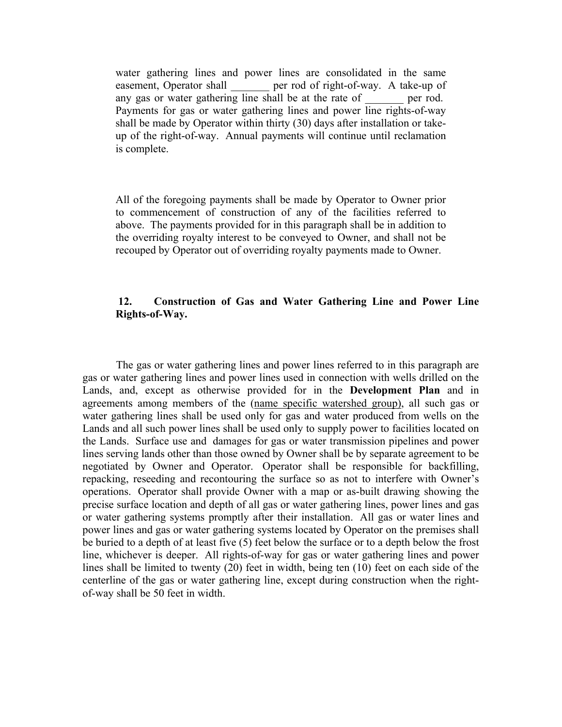water gathering lines and power lines are consolidated in the same easement, Operator shall per rod of right-of-way. A take-up of any gas or water gathering line shall be at the rate of per rod. Payments for gas or water gathering lines and power line rights-of-way shall be made by Operator within thirty (30) days after installation or takeup of the right-of-way. Annual payments will continue until reclamation is complete.

All of the foregoing payments shall be made by Operator to Owner prior to commencement of construction of any of the facilities referred to above. The payments provided for in this paragraph shall be in addition to the overriding royalty interest to be conveyed to Owner, and shall not be recouped by Operator out of overriding royalty payments made to Owner.

### **12. Construction of Gas and Water Gathering Line and Power Line Rights-of-Way.**

 The gas or water gathering lines and power lines referred to in this paragraph are gas or water gathering lines and power lines used in connection with wells drilled on the Lands, and, except as otherwise provided for in the **Development Plan** and in agreements among members of the (name specific watershed group), all such gas or water gathering lines shall be used only for gas and water produced from wells on the Lands and all such power lines shall be used only to supply power to facilities located on the Lands. Surface use and damages for gas or water transmission pipelines and power lines serving lands other than those owned by Owner shall be by separate agreement to be negotiated by Owner and Operator. Operator shall be responsible for backfilling, repacking, reseeding and recontouring the surface so as not to interfere with Owner's operations. Operator shall provide Owner with a map or as-built drawing showing the precise surface location and depth of all gas or water gathering lines, power lines and gas or water gathering systems promptly after their installation. All gas or water lines and power lines and gas or water gathering systems located by Operator on the premises shall be buried to a depth of at least five (5) feet below the surface or to a depth below the frost line, whichever is deeper. All rights-of-way for gas or water gathering lines and power lines shall be limited to twenty (20) feet in width, being ten (10) feet on each side of the centerline of the gas or water gathering line, except during construction when the rightof-way shall be 50 feet in width.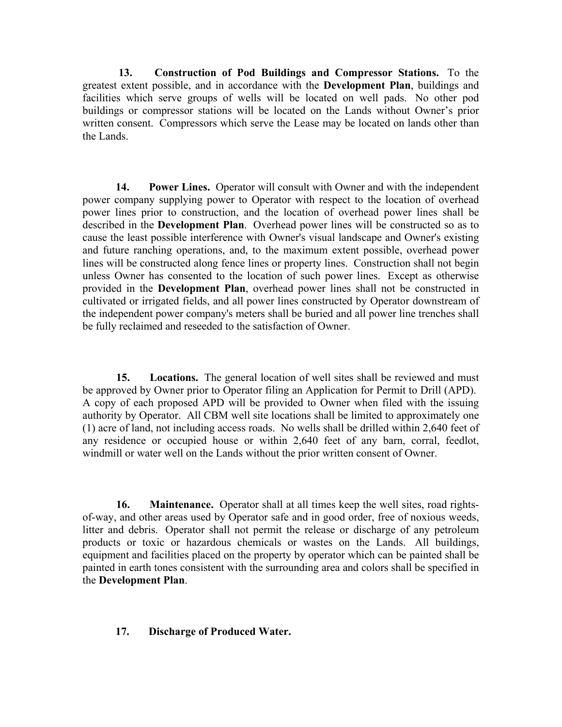**13. Construction of Pod Buildings and Compressor Stations.** To the greatest extent possible, and in accordance with the **Development Plan**, buildings and facilities which serve groups of wells will be located on well pads. No other pod buildings or compressor stations will be located on the Lands without Owner's prior written consent. Compressors which serve the Lease may be located on lands other than the Lands.

 **14. Power Lines.** Operator will consult with Owner and with the independent power company supplying power to Operator with respect to the location of overhead power lines prior to construction, and the location of overhead power lines shall be described in the **Development Plan**. Overhead power lines will be constructed so as to cause the least possible interference with Owner's visual landscape and Owner's existing and future ranching operations, and, to the maximum extent possible, overhead power lines will be constructed along fence lines or property lines. Construction shall not begin unless Owner has consented to the location of such power lines. Except as otherwise provided in the **Development Plan**, overhead power lines shall not be constructed in cultivated or irrigated fields, and all power lines constructed by Operator downstream of the independent power company's meters shall be buried and all power line trenches shall be fully reclaimed and reseeded to the satisfaction of Owner.

 **15. Locations.** The general location of well sites shall be reviewed and must be approved by Owner prior to Operator filing an Application for Permit to Drill (APD). A copy of each proposed APD will be provided to Owner when filed with the issuing authority by Operator. All CBM well site locations shall be limited to approximately one (1) acre of land, not including access roads. No wells shall be drilled within 2,640 feet of any residence or occupied house or within 2,640 feet of any barn, corral, feedlot, windmill or water well on the Lands without the prior written consent of Owner.

 **16. Maintenance.** Operator shall at all times keep the well sites, road rightsof-way, and other areas used by Operator safe and in good order, free of noxious weeds, litter and debris. Operator shall not permit the release or discharge of any petroleum products or toxic or hazardous chemicals or wastes on the Lands. All buildings, equipment and facilities placed on the property by operator which can be painted shall be painted in earth tones consistent with the surrounding area and colors shall be specified in the **Development Plan**.

### **17. Discharge of Produced Water.**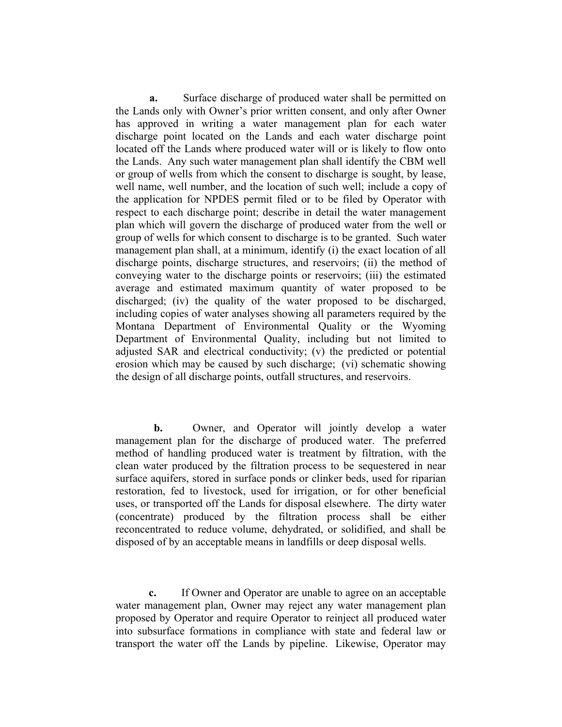**a.** Surface discharge of produced water shall be permitted on the Lands only with Owner's prior written consent, and only after Owner has approved in writing a water management plan for each water discharge point located on the Lands and each water discharge point located off the Lands where produced water will or is likely to flow onto the Lands. Any such water management plan shall identify the CBM well or group of wells from which the consent to discharge is sought, by lease, well name, well number, and the location of such well; include a copy of the application for NPDES permit filed or to be filed by Operator with respect to each discharge point; describe in detail the water management plan which will govern the discharge of produced water from the well or group of wells for which consent to discharge is to be granted. Such water management plan shall, at a minimum, identify (i) the exact location of all discharge points, discharge structures, and reservoirs; (ii) the method of conveying water to the discharge points or reservoirs; (iii) the estimated average and estimated maximum quantity of water proposed to be discharged; (iv) the quality of the water proposed to be discharged, including copies of water analyses showing all parameters required by the Montana Department of Environmental Quality or the Wyoming Department of Environmental Quality, including but not limited to adjusted SAR and electrical conductivity; (v) the predicted or potential erosion which may be caused by such discharge; (vi) schematic showing the design of all discharge points, outfall structures, and reservoirs.

**b.** Owner, and Operator will jointly develop a water management plan for the discharge of produced water. The preferred method of handling produced water is treatment by filtration, with the clean water produced by the filtration process to be sequestered in near surface aquifers, stored in surface ponds or clinker beds, used for riparian restoration, fed to livestock, used for irrigation, or for other beneficial uses, or transported off the Lands for disposal elsewhere. The dirty water (concentrate) produced by the filtration process shall be either reconcentrated to reduce volume, dehydrated, or solidified, and shall be disposed of by an acceptable means in landfills or deep disposal wells.

 **c.** If Owner and Operator are unable to agree on an acceptable water management plan, Owner may reject any water management plan proposed by Operator and require Operator to reinject all produced water into subsurface formations in compliance with state and federal law or transport the water off the Lands by pipeline. Likewise, Operator may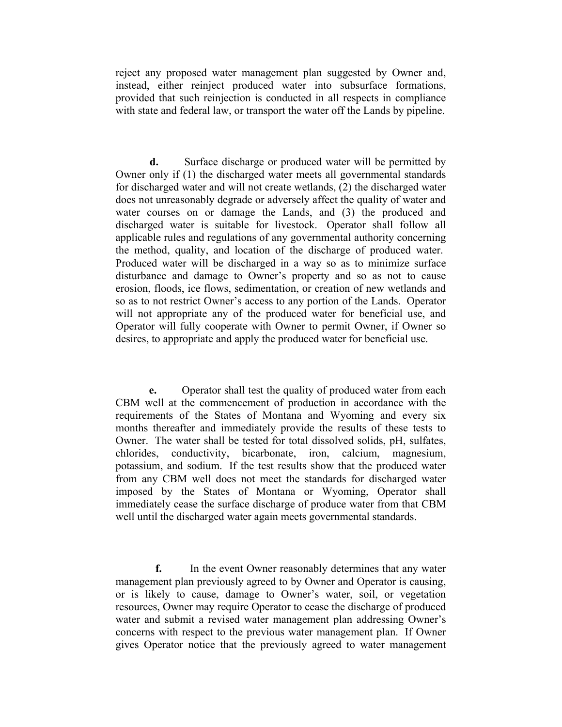reject any proposed water management plan suggested by Owner and, instead, either reinject produced water into subsurface formations, provided that such reinjection is conducted in all respects in compliance with state and federal law, or transport the water off the Lands by pipeline.

 **d.** Surface discharge or produced water will be permitted by Owner only if (1) the discharged water meets all governmental standards for discharged water and will not create wetlands, (2) the discharged water does not unreasonably degrade or adversely affect the quality of water and water courses on or damage the Lands, and (3) the produced and discharged water is suitable for livestock. Operator shall follow all applicable rules and regulations of any governmental authority concerning the method, quality, and location of the discharge of produced water. Produced water will be discharged in a way so as to minimize surface disturbance and damage to Owner's property and so as not to cause erosion, floods, ice flows, sedimentation, or creation of new wetlands and so as to not restrict Owner's access to any portion of the Lands. Operator will not appropriate any of the produced water for beneficial use, and Operator will fully cooperate with Owner to permit Owner, if Owner so desires, to appropriate and apply the produced water for beneficial use.

 **e.** Operator shall test the quality of produced water from each CBM well at the commencement of production in accordance with the requirements of the States of Montana and Wyoming and every six months thereafter and immediately provide the results of these tests to Owner. The water shall be tested for total dissolved solids, pH, sulfates, chlorides, conductivity, bicarbonate, iron, calcium, magnesium, potassium, and sodium. If the test results show that the produced water from any CBM well does not meet the standards for discharged water imposed by the States of Montana or Wyoming, Operator shall immediately cease the surface discharge of produce water from that CBM well until the discharged water again meets governmental standards.

 **f.** In the event Owner reasonably determines that any water management plan previously agreed to by Owner and Operator is causing, or is likely to cause, damage to Owner's water, soil, or vegetation resources, Owner may require Operator to cease the discharge of produced water and submit a revised water management plan addressing Owner's concerns with respect to the previous water management plan. If Owner gives Operator notice that the previously agreed to water management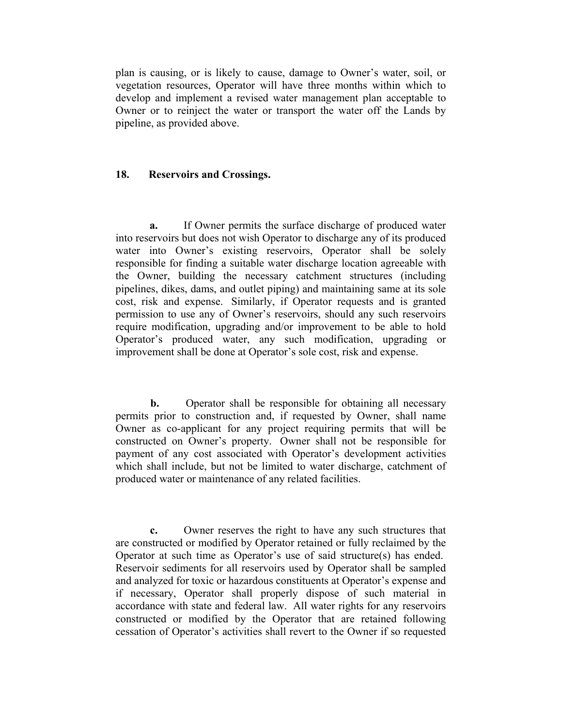plan is causing, or is likely to cause, damage to Owner's water, soil, or vegetation resources, Operator will have three months within which to develop and implement a revised water management plan acceptable to Owner or to reinject the water or transport the water off the Lands by pipeline, as provided above.

#### **18. Reservoirs and Crossings.**

 **a.** If Owner permits the surface discharge of produced water into reservoirs but does not wish Operator to discharge any of its produced water into Owner's existing reservoirs, Operator shall be solely responsible for finding a suitable water discharge location agreeable with the Owner, building the necessary catchment structures (including pipelines, dikes, dams, and outlet piping) and maintaining same at its sole cost, risk and expense. Similarly, if Operator requests and is granted permission to use any of Owner's reservoirs, should any such reservoirs require modification, upgrading and/or improvement to be able to hold Operator's produced water, any such modification, upgrading or improvement shall be done at Operator's sole cost, risk and expense.

**b.** Operator shall be responsible for obtaining all necessary permits prior to construction and, if requested by Owner, shall name Owner as co-applicant for any project requiring permits that will be constructed on Owner's property. Owner shall not be responsible for payment of any cost associated with Operator's development activities which shall include, but not be limited to water discharge, catchment of produced water or maintenance of any related facilities.

 **c.** Owner reserves the right to have any such structures that are constructed or modified by Operator retained or fully reclaimed by the Operator at such time as Operator's use of said structure(s) has ended. Reservoir sediments for all reservoirs used by Operator shall be sampled and analyzed for toxic or hazardous constituents at Operator's expense and if necessary, Operator shall properly dispose of such material in accordance with state and federal law. All water rights for any reservoirs constructed or modified by the Operator that are retained following cessation of Operator's activities shall revert to the Owner if so requested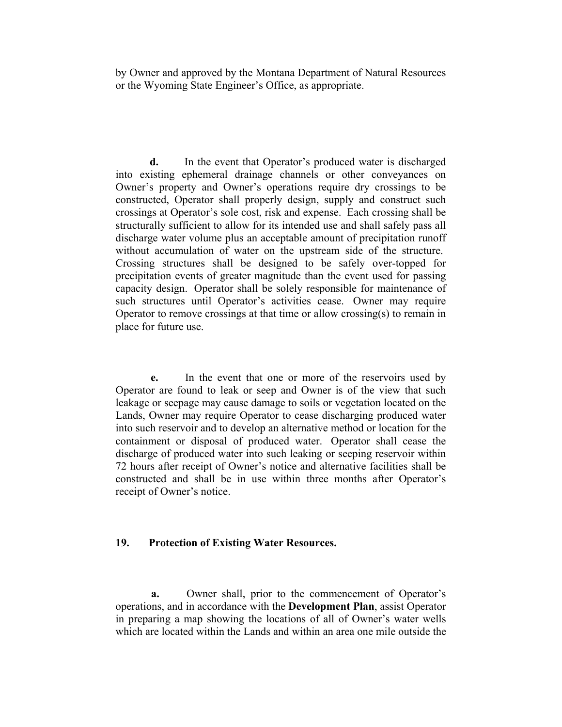by Owner and approved by the Montana Department of Natural Resources or the Wyoming State Engineer's Office, as appropriate.

 **d.** In the event that Operator's produced water is discharged into existing ephemeral drainage channels or other conveyances on Owner's property and Owner's operations require dry crossings to be constructed, Operator shall properly design, supply and construct such crossings at Operator's sole cost, risk and expense. Each crossing shall be structurally sufficient to allow for its intended use and shall safely pass all discharge water volume plus an acceptable amount of precipitation runoff without accumulation of water on the upstream side of the structure. Crossing structures shall be designed to be safely over-topped for precipitation events of greater magnitude than the event used for passing capacity design. Operator shall be solely responsible for maintenance of such structures until Operator's activities cease. Owner may require Operator to remove crossings at that time or allow crossing(s) to remain in place for future use.

 **e.** In the event that one or more of the reservoirs used by Operator are found to leak or seep and Owner is of the view that such leakage or seepage may cause damage to soils or vegetation located on the Lands, Owner may require Operator to cease discharging produced water into such reservoir and to develop an alternative method or location for the containment or disposal of produced water. Operator shall cease the discharge of produced water into such leaking or seeping reservoir within 72 hours after receipt of Owner's notice and alternative facilities shall be constructed and shall be in use within three months after Operator's receipt of Owner's notice.

# **19. Protection of Existing Water Resources.**

 **a.** Owner shall, prior to the commencement of Operator's operations, and in accordance with the **Development Plan**, assist Operator in preparing a map showing the locations of all of Owner's water wells which are located within the Lands and within an area one mile outside the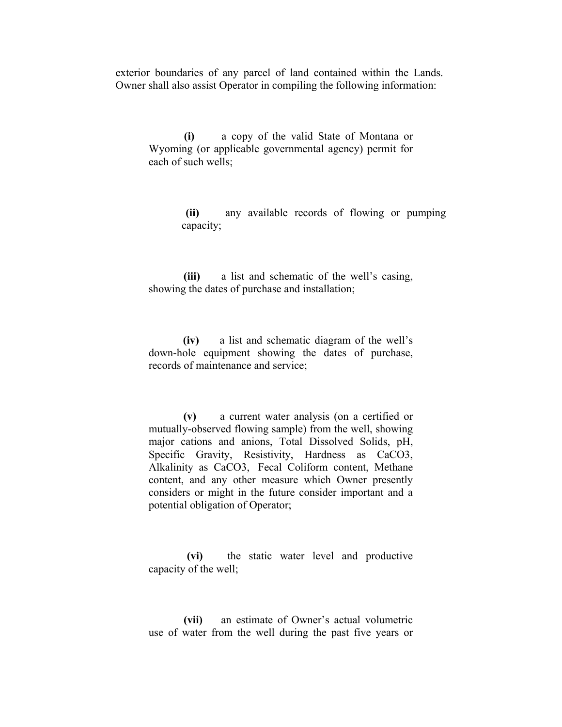exterior boundaries of any parcel of land contained within the Lands. Owner shall also assist Operator in compiling the following information:

 **(i)** a copy of the valid State of Montana or Wyoming (or applicable governmental agency) permit for each of such wells;

> **(ii)** any available records of flowing or pumping capacity;

 **(iii)** a list and schematic of the well's casing, showing the dates of purchase and installation;

 **(iv)** a list and schematic diagram of the well's down-hole equipment showing the dates of purchase, records of maintenance and service;

 **(v)** a current water analysis (on a certified or mutually-observed flowing sample) from the well, showing major cations and anions, Total Dissolved Solids, pH, Specific Gravity, Resistivity, Hardness as CaCO3, Alkalinity as CaCO3, Fecal Coliform content, Methane content, and any other measure which Owner presently considers or might in the future consider important and a potential obligation of Operator;

 **(vi)** the static water level and productive capacity of the well;

 **(vii)** an estimate of Owner's actual volumetric use of water from the well during the past five years or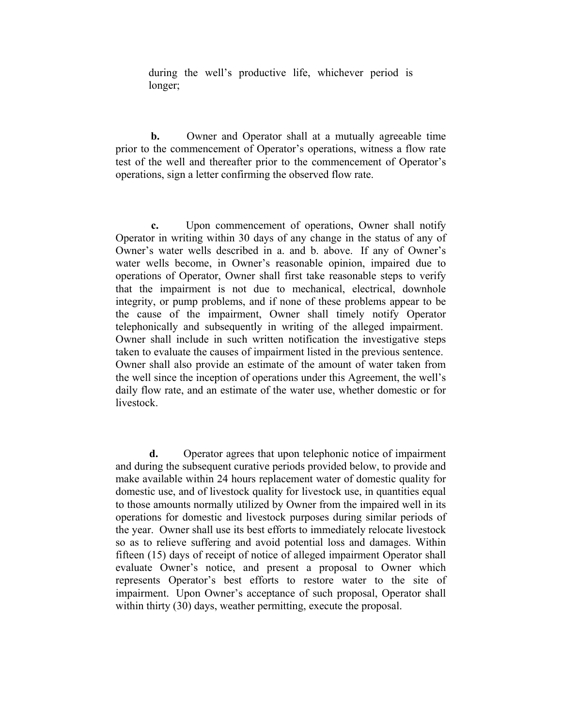during the well's productive life, whichever period is longer;

**b.** Owner and Operator shall at a mutually agreeable time prior to the commencement of Operator's operations, witness a flow rate test of the well and thereafter prior to the commencement of Operator's operations, sign a letter confirming the observed flow rate.

 **c.** Upon commencement of operations, Owner shall notify Operator in writing within 30 days of any change in the status of any of Owner's water wells described in a. and b. above. If any of Owner's water wells become, in Owner's reasonable opinion, impaired due to operations of Operator, Owner shall first take reasonable steps to verify that the impairment is not due to mechanical, electrical, downhole integrity, or pump problems, and if none of these problems appear to be the cause of the impairment, Owner shall timely notify Operator telephonically and subsequently in writing of the alleged impairment. Owner shall include in such written notification the investigative steps taken to evaluate the causes of impairment listed in the previous sentence. Owner shall also provide an estimate of the amount of water taken from the well since the inception of operations under this Agreement, the well's daily flow rate, and an estimate of the water use, whether domestic or for livestock.

 **d.** Operator agrees that upon telephonic notice of impairment and during the subsequent curative periods provided below, to provide and make available within 24 hours replacement water of domestic quality for domestic use, and of livestock quality for livestock use, in quantities equal to those amounts normally utilized by Owner from the impaired well in its operations for domestic and livestock purposes during similar periods of the year. Owner shall use its best efforts to immediately relocate livestock so as to relieve suffering and avoid potential loss and damages. Within fifteen (15) days of receipt of notice of alleged impairment Operator shall evaluate Owner's notice, and present a proposal to Owner which represents Operator's best efforts to restore water to the site of impairment. Upon Owner's acceptance of such proposal, Operator shall within thirty (30) days, weather permitting, execute the proposal.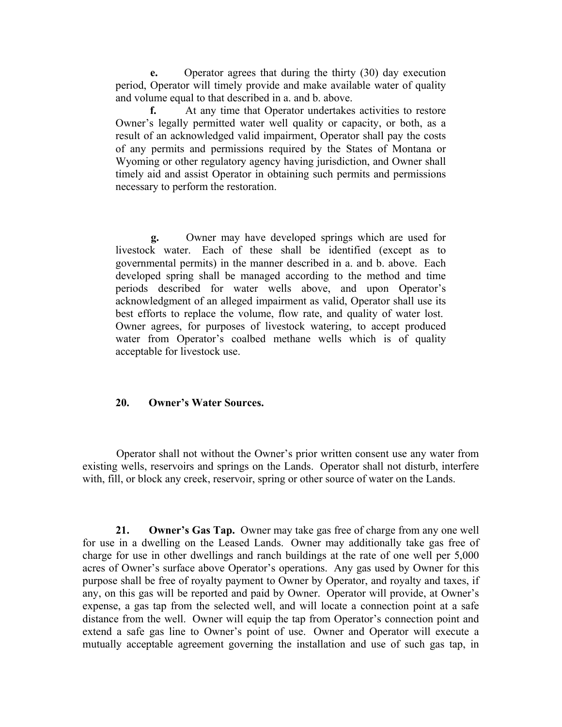**e.** Operator agrees that during the thirty (30) day execution period, Operator will timely provide and make available water of quality and volume equal to that described in a. and b. above.

 **f.** At any time that Operator undertakes activities to restore Owner's legally permitted water well quality or capacity, or both, as a result of an acknowledged valid impairment, Operator shall pay the costs of any permits and permissions required by the States of Montana or Wyoming or other regulatory agency having jurisdiction, and Owner shall timely aid and assist Operator in obtaining such permits and permissions necessary to perform the restoration.

 **g.** Owner may have developed springs which are used for livestock water. Each of these shall be identified (except as to governmental permits) in the manner described in a. and b. above. Each developed spring shall be managed according to the method and time periods described for water wells above, and upon Operator's acknowledgment of an alleged impairment as valid, Operator shall use its best efforts to replace the volume, flow rate, and quality of water lost. Owner agrees, for purposes of livestock watering, to accept produced water from Operator's coalbed methane wells which is of quality acceptable for livestock use.

### **20. Owner's Water Sources.**

 Operator shall not without the Owner's prior written consent use any water from existing wells, reservoirs and springs on the Lands. Operator shall not disturb, interfere with, fill, or block any creek, reservoir, spring or other source of water on the Lands.

 **21. Owner's Gas Tap.** Owner may take gas free of charge from any one well for use in a dwelling on the Leased Lands. Owner may additionally take gas free of charge for use in other dwellings and ranch buildings at the rate of one well per 5,000 acres of Owner's surface above Operator's operations. Any gas used by Owner for this purpose shall be free of royalty payment to Owner by Operator, and royalty and taxes, if any, on this gas will be reported and paid by Owner. Operator will provide, at Owner's expense, a gas tap from the selected well, and will locate a connection point at a safe distance from the well. Owner will equip the tap from Operator's connection point and extend a safe gas line to Owner's point of use. Owner and Operator will execute a mutually acceptable agreement governing the installation and use of such gas tap, in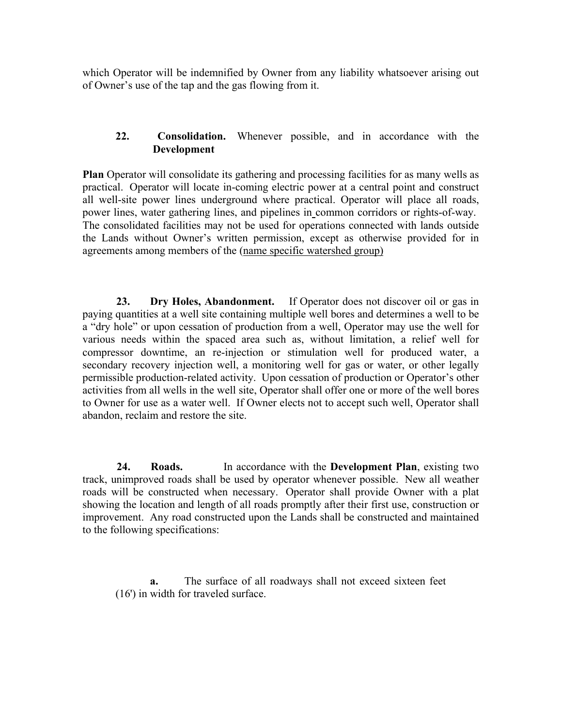which Operator will be indemnified by Owner from any liability whatsoever arising out of Owner's use of the tap and the gas flowing from it.

# **22. Consolidation.** Whenever possible, and in accordance with the **Development**

**Plan** Operator will consolidate its gathering and processing facilities for as many wells as practical. Operator will locate in-coming electric power at a central point and construct all well-site power lines underground where practical. Operator will place all roads, power lines, water gathering lines, and pipelines in common corridors or rights-of-way. The consolidated facilities may not be used for operations connected with lands outside the Lands without Owner's written permission, except as otherwise provided for in agreements among members of the (name specific watershed group)

 **23. Dry Holes, Abandonment.** If Operator does not discover oil or gas in paying quantities at a well site containing multiple well bores and determines a well to be a "dry hole" or upon cessation of production from a well, Operator may use the well for various needs within the spaced area such as, without limitation, a relief well for compressor downtime, an re-injection or stimulation well for produced water, a secondary recovery injection well, a monitoring well for gas or water, or other legally permissible production-related activity. Upon cessation of production or Operator's other activities from all wells in the well site, Operator shall offer one or more of the well bores to Owner for use as a water well. If Owner elects not to accept such well, Operator shall abandon, reclaim and restore the site.

 **24. Roads.** In accordance with the **Development Plan**, existing two track, unimproved roads shall be used by operator whenever possible. New all weather roads will be constructed when necessary. Operator shall provide Owner with a plat showing the location and length of all roads promptly after their first use, construction or improvement. Any road constructed upon the Lands shall be constructed and maintained to the following specifications:

**a.** The surface of all roadways shall not exceed sixteen feet (16') in width for traveled surface.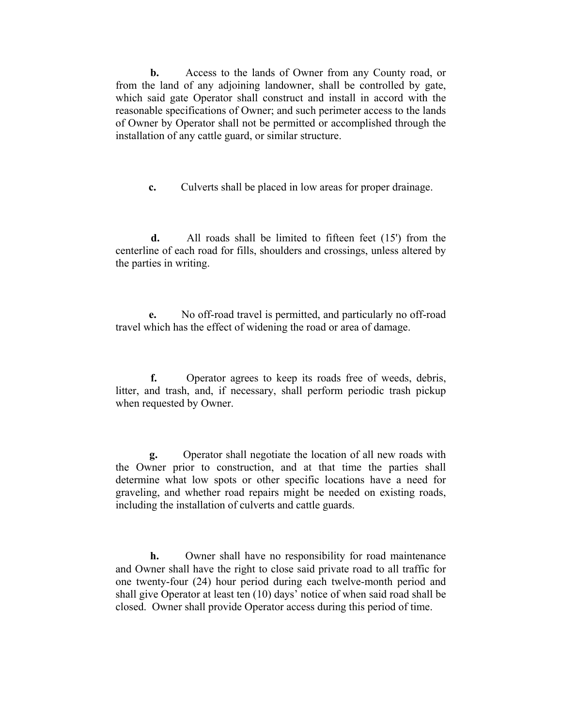**b.** Access to the lands of Owner from any County road, or from the land of any adjoining landowner, shall be controlled by gate, which said gate Operator shall construct and install in accord with the reasonable specifications of Owner; and such perimeter access to the lands of Owner by Operator shall not be permitted or accomplished through the installation of any cattle guard, or similar structure.

**c.** Culverts shall be placed in low areas for proper drainage.

 **d.** All roads shall be limited to fifteen feet (15') from the centerline of each road for fills, shoulders and crossings, unless altered by the parties in writing.

 **e.** No off-road travel is permitted, and particularly no off-road travel which has the effect of widening the road or area of damage.

 **f.** Operator agrees to keep its roads free of weeds, debris, litter, and trash, and, if necessary, shall perform periodic trash pickup when requested by Owner.

 **g.** Operator shall negotiate the location of all new roads with the Owner prior to construction, and at that time the parties shall determine what low spots or other specific locations have a need for graveling, and whether road repairs might be needed on existing roads, including the installation of culverts and cattle guards.

 **h.** Owner shall have no responsibility for road maintenance and Owner shall have the right to close said private road to all traffic for one twenty-four (24) hour period during each twelve-month period and shall give Operator at least ten (10) days' notice of when said road shall be closed. Owner shall provide Operator access during this period of time.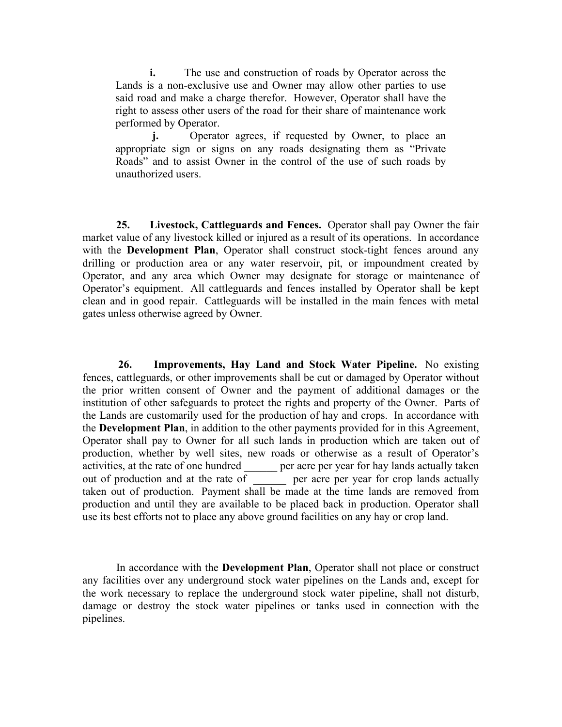**i.** The use and construction of roads by Operator across the Lands is a non-exclusive use and Owner may allow other parties to use said road and make a charge therefor. However, Operator shall have the right to assess other users of the road for their share of maintenance work performed by Operator.

**j.** Operator agrees, if requested by Owner, to place an appropriate sign or signs on any roads designating them as "Private Roads" and to assist Owner in the control of the use of such roads by unauthorized users.

 **25. Livestock, Cattleguards and Fences.** Operator shall pay Owner the fair market value of any livestock killed or injured as a result of its operations. In accordance with the **Development Plan**, Operator shall construct stock-tight fences around any drilling or production area or any water reservoir, pit, or impoundment created by Operator, and any area which Owner may designate for storage or maintenance of Operator's equipment. All cattleguards and fences installed by Operator shall be kept clean and in good repair. Cattleguards will be installed in the main fences with metal gates unless otherwise agreed by Owner.

 **26. Improvements, Hay Land and Stock Water Pipeline.** No existing fences, cattleguards, or other improvements shall be cut or damaged by Operator without the prior written consent of Owner and the payment of additional damages or the institution of other safeguards to protect the rights and property of the Owner. Parts of the Lands are customarily used for the production of hay and crops. In accordance with the **Development Plan**, in addition to the other payments provided for in this Agreement, Operator shall pay to Owner for all such lands in production which are taken out of production, whether by well sites, new roads or otherwise as a result of Operator's activities, at the rate of one hundred per acre per year for hay lands actually taken out of production and at the rate of <u>equilibration</u> per acre per year for crop lands actually taken out of production. Payment shall be made at the time lands are removed from production and until they are available to be placed back in production. Operator shall use its best efforts not to place any above ground facilities on any hay or crop land.

 In accordance with the **Development Plan**, Operator shall not place or construct any facilities over any underground stock water pipelines on the Lands and, except for the work necessary to replace the underground stock water pipeline, shall not disturb, damage or destroy the stock water pipelines or tanks used in connection with the pipelines.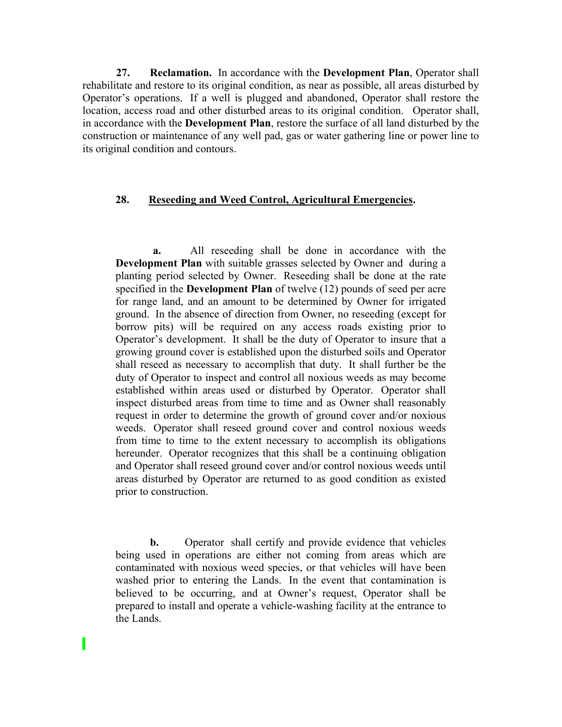**27. Reclamation.** In accordance with the **Development Plan**, Operator shall rehabilitate and restore to its original condition, as near as possible, all areas disturbed by Operator's operations. If a well is plugged and abandoned, Operator shall restore the location, access road and other disturbed areas to its original condition. Operator shall, in accordance with the **Development Plan**, restore the surface of all land disturbed by the construction or maintenance of any well pad, gas or water gathering line or power line to its original condition and contours.

#### **28. Reseeding and Weed Control, Agricultural Emergencies.**

 **a.** All reseeding shall be done in accordance with the **Development Plan** with suitable grasses selected by Owner and during a planting period selected by Owner. Reseeding shall be done at the rate specified in the **Development Plan** of twelve (12) pounds of seed per acre for range land, and an amount to be determined by Owner for irrigated ground. In the absence of direction from Owner, no reseeding (except for borrow pits) will be required on any access roads existing prior to Operator's development. It shall be the duty of Operator to insure that a growing ground cover is established upon the disturbed soils and Operator shall reseed as necessary to accomplish that duty. It shall further be the duty of Operator to inspect and control all noxious weeds as may become established within areas used or disturbed by Operator. Operator shall inspect disturbed areas from time to time and as Owner shall reasonably request in order to determine the growth of ground cover and/or noxious weeds. Operator shall reseed ground cover and control noxious weeds from time to time to the extent necessary to accomplish its obligations hereunder. Operator recognizes that this shall be a continuing obligation and Operator shall reseed ground cover and/or control noxious weeds until areas disturbed by Operator are returned to as good condition as existed prior to construction.

**b.** Operator shall certify and provide evidence that vehicles being used in operations are either not coming from areas which are contaminated with noxious weed species, or that vehicles will have been washed prior to entering the Lands. In the event that contamination is believed to be occurring, and at Owner's request, Operator shall be prepared to install and operate a vehicle-washing facility at the entrance to the Lands.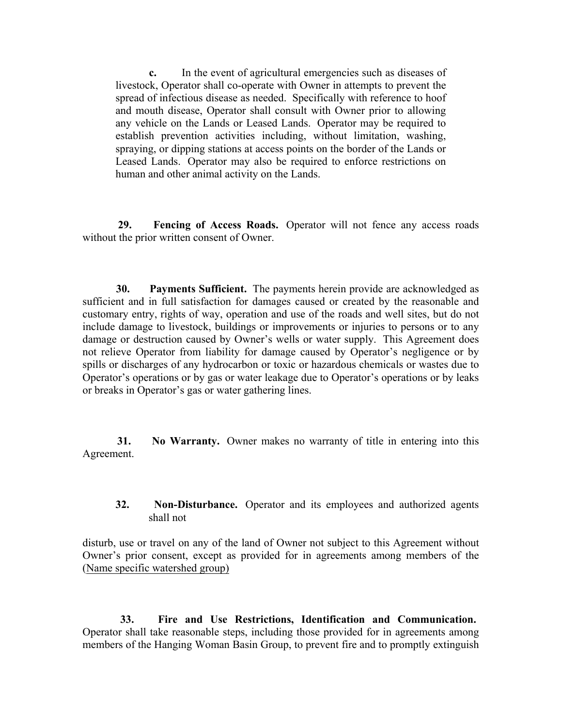**c.** In the event of agricultural emergencies such as diseases of livestock, Operator shall co-operate with Owner in attempts to prevent the spread of infectious disease as needed. Specifically with reference to hoof and mouth disease, Operator shall consult with Owner prior to allowing any vehicle on the Lands or Leased Lands. Operator may be required to establish prevention activities including, without limitation, washing, spraying, or dipping stations at access points on the border of the Lands or Leased Lands. Operator may also be required to enforce restrictions on human and other animal activity on the Lands.

 **29. Fencing of Access Roads.** Operator will not fence any access roads without the prior written consent of Owner.

 **30. Payments Sufficient.** The payments herein provide are acknowledged as sufficient and in full satisfaction for damages caused or created by the reasonable and customary entry, rights of way, operation and use of the roads and well sites, but do not include damage to livestock, buildings or improvements or injuries to persons or to any damage or destruction caused by Owner's wells or water supply. This Agreement does not relieve Operator from liability for damage caused by Operator's negligence or by spills or discharges of any hydrocarbon or toxic or hazardous chemicals or wastes due to Operator's operations or by gas or water leakage due to Operator's operations or by leaks or breaks in Operator's gas or water gathering lines.

 **31. No Warranty.** Owner makes no warranty of title in entering into this Agreement.

**32. Non-Disturbance.** Operator and its employees and authorized agents shall not

disturb, use or travel on any of the land of Owner not subject to this Agreement without Owner's prior consent, except as provided for in agreements among members of the (Name specific watershed group)

 **33. Fire and Use Restrictions, Identification and Communication.** Operator shall take reasonable steps, including those provided for in agreements among members of the Hanging Woman Basin Group, to prevent fire and to promptly extinguish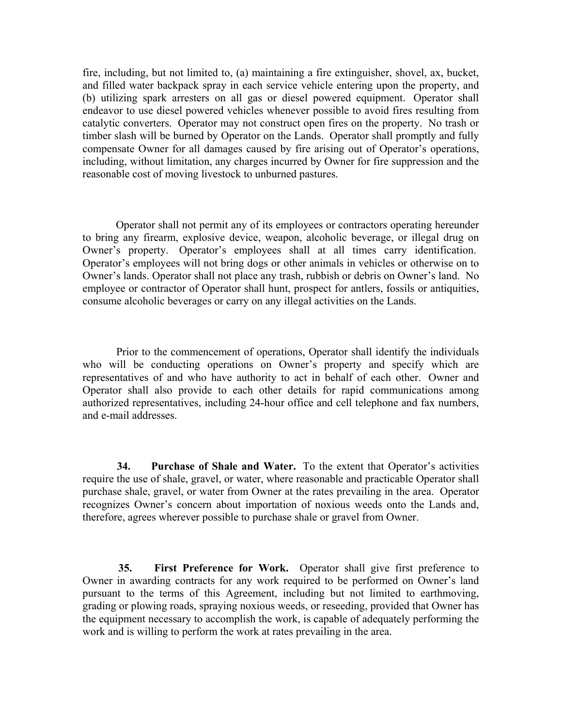fire, including, but not limited to, (a) maintaining a fire extinguisher, shovel, ax, bucket, and filled water backpack spray in each service vehicle entering upon the property, and (b) utilizing spark arresters on all gas or diesel powered equipment. Operator shall endeavor to use diesel powered vehicles whenever possible to avoid fires resulting from catalytic converters. Operator may not construct open fires on the property. No trash or timber slash will be burned by Operator on the Lands. Operator shall promptly and fully compensate Owner for all damages caused by fire arising out of Operator's operations, including, without limitation, any charges incurred by Owner for fire suppression and the reasonable cost of moving livestock to unburned pastures.

 Operator shall not permit any of its employees or contractors operating hereunder to bring any firearm, explosive device, weapon, alcoholic beverage, or illegal drug on Owner's property. Operator's employees shall at all times carry identification. Operator's employees will not bring dogs or other animals in vehicles or otherwise on to Owner's lands. Operator shall not place any trash, rubbish or debris on Owner's land. No employee or contractor of Operator shall hunt, prospect for antlers, fossils or antiquities, consume alcoholic beverages or carry on any illegal activities on the Lands.

 Prior to the commencement of operations, Operator shall identify the individuals who will be conducting operations on Owner's property and specify which are representatives of and who have authority to act in behalf of each other. Owner and Operator shall also provide to each other details for rapid communications among authorized representatives, including 24-hour office and cell telephone and fax numbers, and e-mail addresses.

 **34. Purchase of Shale and Water.** To the extent that Operator's activities require the use of shale, gravel, or water, where reasonable and practicable Operator shall purchase shale, gravel, or water from Owner at the rates prevailing in the area. Operator recognizes Owner's concern about importation of noxious weeds onto the Lands and, therefore, agrees wherever possible to purchase shale or gravel from Owner.

 **35. First Preference for Work.** Operator shall give first preference to Owner in awarding contracts for any work required to be performed on Owner's land pursuant to the terms of this Agreement, including but not limited to earthmoving, grading or plowing roads, spraying noxious weeds, or reseeding, provided that Owner has the equipment necessary to accomplish the work, is capable of adequately performing the work and is willing to perform the work at rates prevailing in the area.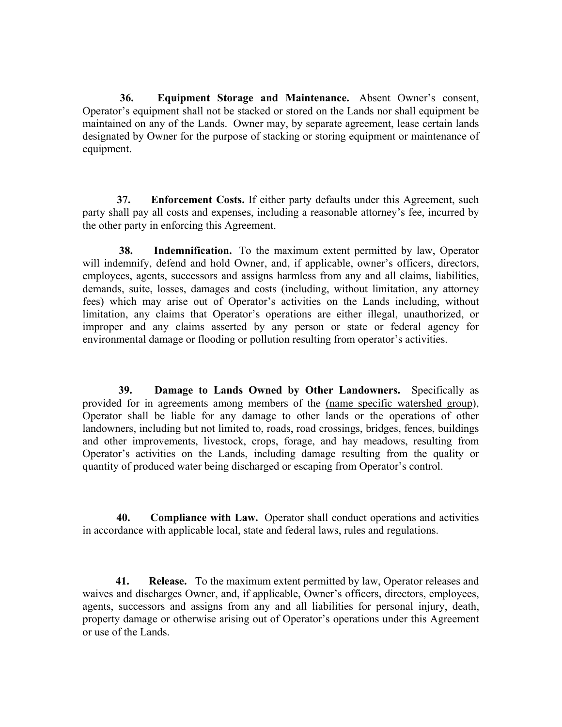**36. Equipment Storage and Maintenance.** Absent Owner's consent, Operator's equipment shall not be stacked or stored on the Lands nor shall equipment be maintained on any of the Lands. Owner may, by separate agreement, lease certain lands designated by Owner for the purpose of stacking or storing equipment or maintenance of equipment.

 **37. Enforcement Costs.** If either party defaults under this Agreement, such party shall pay all costs and expenses, including a reasonable attorney's fee, incurred by the other party in enforcing this Agreement.

**38. Indemnification.** To the maximum extent permitted by law, Operator will indemnify, defend and hold Owner, and, if applicable, owner's officers, directors, employees, agents, successors and assigns harmless from any and all claims, liabilities, demands, suite, losses, damages and costs (including, without limitation, any attorney fees) which may arise out of Operator's activities on the Lands including, without limitation, any claims that Operator's operations are either illegal, unauthorized, or improper and any claims asserted by any person or state or federal agency for environmental damage or flooding or pollution resulting from operator's activities.

 **39. Damage to Lands Owned by Other Landowners.** Specifically as provided for in agreements among members of the (name specific watershed group), Operator shall be liable for any damage to other lands or the operations of other landowners, including but not limited to, roads, road crossings, bridges, fences, buildings and other improvements, livestock, crops, forage, and hay meadows, resulting from Operator's activities on the Lands, including damage resulting from the quality or quantity of produced water being discharged or escaping from Operator's control.

 **40. Compliance with Law.** Operator shall conduct operations and activities in accordance with applicable local, state and federal laws, rules and regulations.

 **41. Release.** To the maximum extent permitted by law, Operator releases and waives and discharges Owner, and, if applicable, Owner's officers, directors, employees, agents, successors and assigns from any and all liabilities for personal injury, death, property damage or otherwise arising out of Operator's operations under this Agreement or use of the Lands.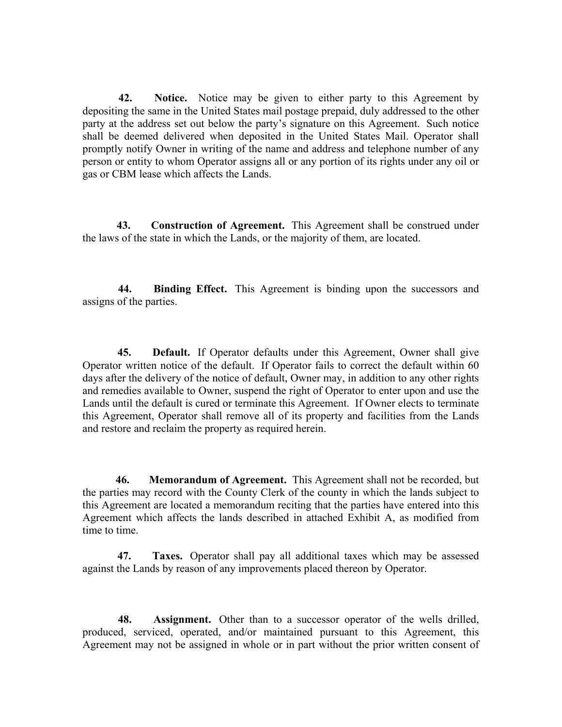**42. Notice.** Notice may be given to either party to this Agreement by depositing the same in the United States mail postage prepaid, duly addressed to the other party at the address set out below the party's signature on this Agreement. Such notice shall be deemed delivered when deposited in the United States Mail. Operator shall promptly notify Owner in writing of the name and address and telephone number of any person or entity to whom Operator assigns all or any portion of its rights under any oil or gas or CBM lease which affects the Lands.

 **43. Construction of Agreement.** This Agreement shall be construed under the laws of the state in which the Lands, or the majority of them, are located.

 **44. Binding Effect.** This Agreement is binding upon the successors and assigns of the parties.

 **45. Default.** If Operator defaults under this Agreement, Owner shall give Operator written notice of the default. If Operator fails to correct the default within 60 days after the delivery of the notice of default, Owner may, in addition to any other rights and remedies available to Owner, suspend the right of Operator to enter upon and use the Lands until the default is cured or terminate this Agreement. If Owner elects to terminate this Agreement, Operator shall remove all of its property and facilities from the Lands and restore and reclaim the property as required herein.

 **46. Memorandum of Agreement.** This Agreement shall not be recorded, but the parties may record with the County Clerk of the county in which the lands subject to this Agreement are located a memorandum reciting that the parties have entered into this Agreement which affects the lands described in attached Exhibit A, as modified from time to time.

 **47. Taxes.** Operator shall pay all additional taxes which may be assessed against the Lands by reason of any improvements placed thereon by Operator.

 **48. Assignment.** Other than to a successor operator of the wells drilled, produced, serviced, operated, and/or maintained pursuant to this Agreement, this Agreement may not be assigned in whole or in part without the prior written consent of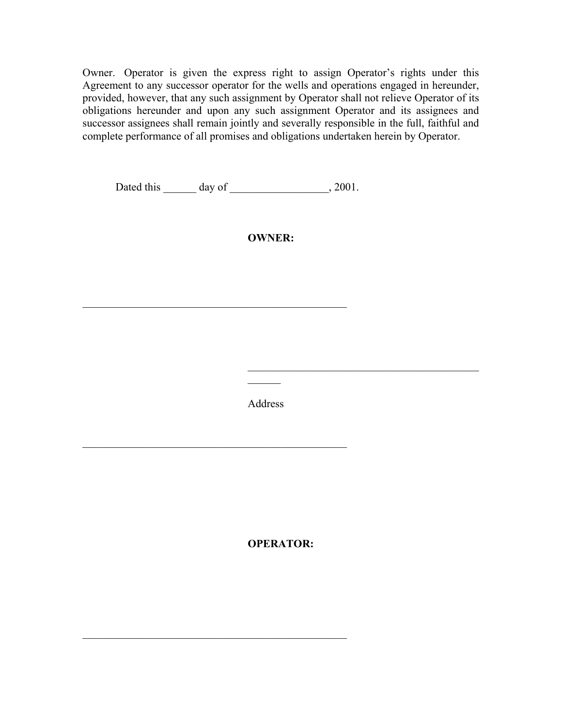Owner. Operator is given the express right to assign Operator's rights under this Agreement to any successor operator for the wells and operations engaged in hereunder, provided, however, that any such assignment by Operator shall not relieve Operator of its obligations hereunder and upon any such assignment Operator and its assignees and successor assignees shall remain jointly and severally responsible in the full, faithful and complete performance of all promises and obligations undertaken herein by Operator.

Dated this \_\_\_\_\_\_ day of \_\_\_\_\_\_\_\_\_\_\_\_\_\_\_\_\_\_, 2001.

\_\_\_\_\_\_\_\_\_\_\_\_\_\_\_\_\_\_\_\_\_\_\_\_\_\_\_\_\_\_\_\_\_\_\_\_\_\_\_\_\_\_\_\_\_\_\_\_

\_\_\_\_\_\_\_\_\_\_\_\_\_\_\_\_\_\_\_\_\_\_\_\_\_\_\_\_\_\_\_\_\_\_\_\_\_\_\_\_\_\_\_\_\_\_\_\_

\_\_\_\_\_\_\_\_\_\_\_\_\_\_\_\_\_\_\_\_\_\_\_\_\_\_\_\_\_\_\_\_\_\_\_\_\_\_\_\_\_\_\_\_\_\_\_\_

# **OWNER:**

Address

 $\frac{1}{2}$ 

\_\_\_\_\_\_\_\_\_\_\_\_\_\_\_\_\_\_\_\_\_\_\_\_\_\_\_\_\_\_\_\_\_\_\_\_\_\_\_\_\_\_

**OPERATOR:**